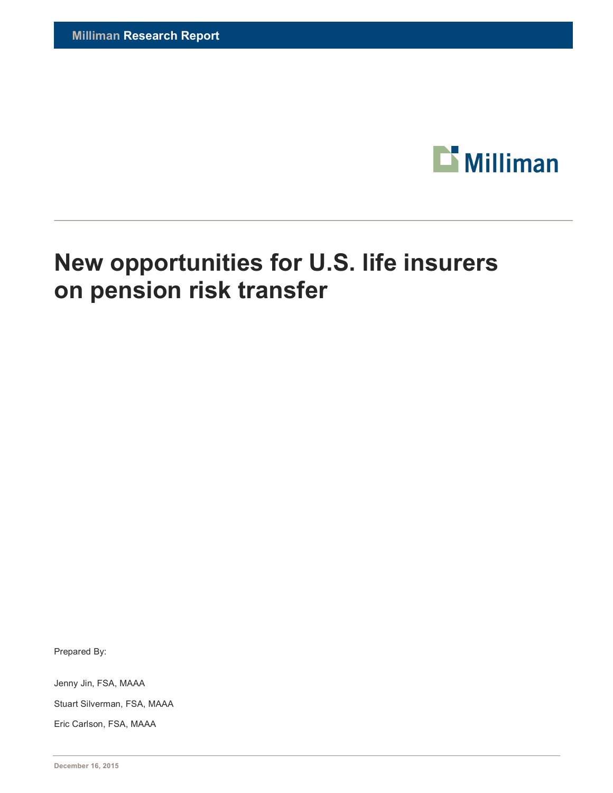

# **New opportunities for U.S. life insurers on pension risk transfer**

Prepared By:

Jenny Jin, FSA, MAAA

Stuart Silverman, FSA, MAAA

Eric Carlson, FSA, MAAA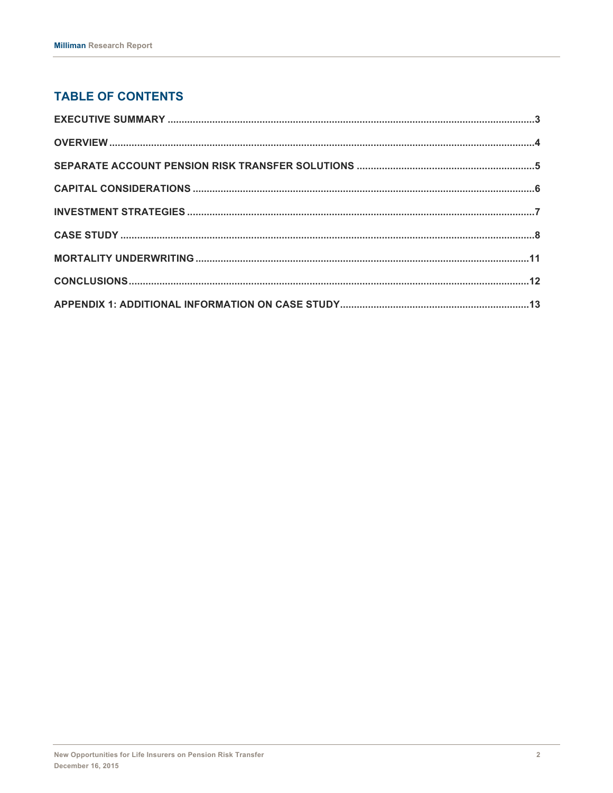## **TABLE OF CONTENTS**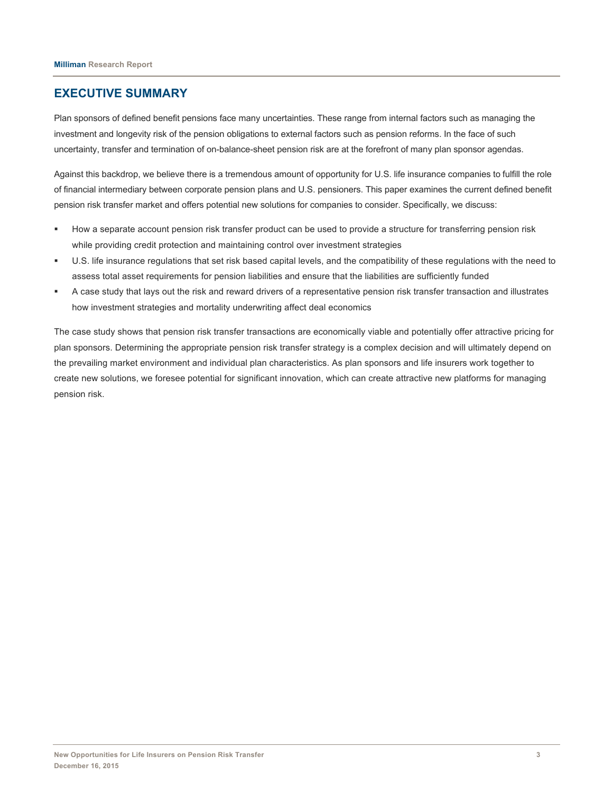## **EXECUTIVE SUMMARY**

Plan sponsors of defined benefit pensions face many uncertainties. These range from internal factors such as managing the investment and longevity risk of the pension obligations to external factors such as pension reforms. In the face of such uncertainty, transfer and termination of on-balance-sheet pension risk are at the forefront of many plan sponsor agendas.

Against this backdrop, we believe there is a tremendous amount of opportunity for U.S. life insurance companies to fulfill the role of financial intermediary between corporate pension plans and U.S. pensioners. This paper examines the current defined benefit pension risk transfer market and offers potential new solutions for companies to consider. Specifically, we discuss:

- How a separate account pension risk transfer product can be used to provide a structure for transferring pension risk while providing credit protection and maintaining control over investment strategies
- § U.S. life insurance regulations that set risk based capital levels, and the compatibility of these regulations with the need to assess total asset requirements for pension liabilities and ensure that the liabilities are sufficiently funded
- § A case study that lays out the risk and reward drivers of a representative pension risk transfer transaction and illustrates how investment strategies and mortality underwriting affect deal economics

The case study shows that pension risk transfer transactions are economically viable and potentially offer attractive pricing for plan sponsors. Determining the appropriate pension risk transfer strategy is a complex decision and will ultimately depend on the prevailing market environment and individual plan characteristics. As plan sponsors and life insurers work together to create new solutions, we foresee potential for significant innovation, which can create attractive new platforms for managing pension risk.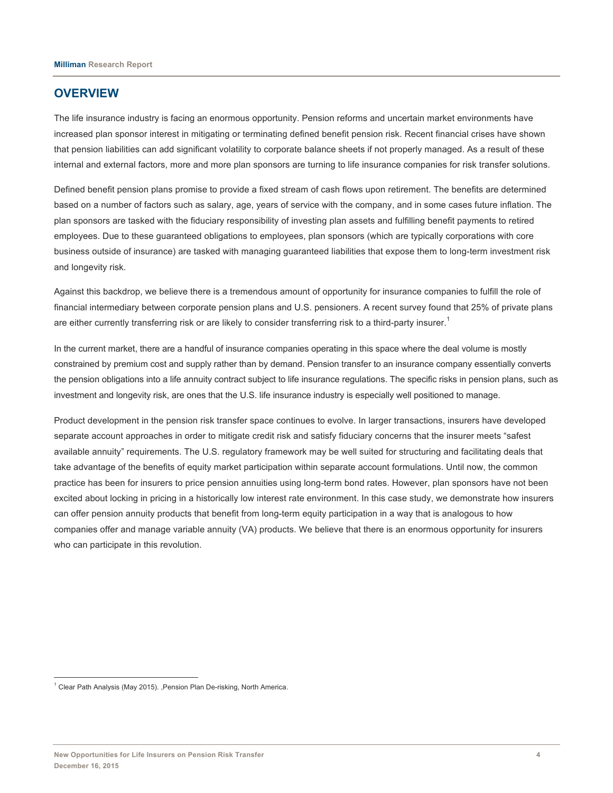## **OVERVIEW**

The life insurance industry is facing an enormous opportunity. Pension reforms and uncertain market environments have increased plan sponsor interest in mitigating or terminating defined benefit pension risk. Recent financial crises have shown that pension liabilities can add significant volatility to corporate balance sheets if not properly managed. As a result of these internal and external factors, more and more plan sponsors are turning to life insurance companies for risk transfer solutions.

Defined benefit pension plans promise to provide a fixed stream of cash flows upon retirement. The benefits are determined based on a number of factors such as salary, age, years of service with the company, and in some cases future inflation. The plan sponsors are tasked with the fiduciary responsibility of investing plan assets and fulfilling benefit payments to retired employees. Due to these guaranteed obligations to employees, plan sponsors (which are typically corporations with core business outside of insurance) are tasked with managing guaranteed liabilities that expose them to long-term investment risk and longevity risk.

Against this backdrop, we believe there is a tremendous amount of opportunity for insurance companies to fulfill the role of financial intermediary between corporate pension plans and U.S. pensioners. A recent survey found that 25% of private plans are either currently transferring risk or are likely to consider transferring risk to a third-party insurer.<sup>1</sup>

In the current market, there are a handful of insurance companies operating in this space where the deal volume is mostly constrained by premium cost and supply rather than by demand. Pension transfer to an insurance company essentially converts the pension obligations into a life annuity contract subject to life insurance regulations. The specific risks in pension plans, such as investment and longevity risk, are ones that the U.S. life insurance industry is especially well positioned to manage.

Product development in the pension risk transfer space continues to evolve. In larger transactions, insurers have developed separate account approaches in order to mitigate credit risk and satisfy fiduciary concerns that the insurer meets "safest available annuity" requirements. The U.S. regulatory framework may be well suited for structuring and facilitating deals that take advantage of the benefits of equity market participation within separate account formulations. Until now, the common practice has been for insurers to price pension annuities using long-term bond rates. However, plan sponsors have not been excited about locking in pricing in a historically low interest rate environment. In this case study, we demonstrate how insurers can offer pension annuity products that benefit from long-term equity participation in a way that is analogous to how companies offer and manage variable annuity (VA) products. We believe that there is an enormous opportunity for insurers who can participate in this revolution.

<sup>&</sup>lt;sup>1</sup> Clear Path Analysis (May 2015). ,Pension Plan De-risking, North America.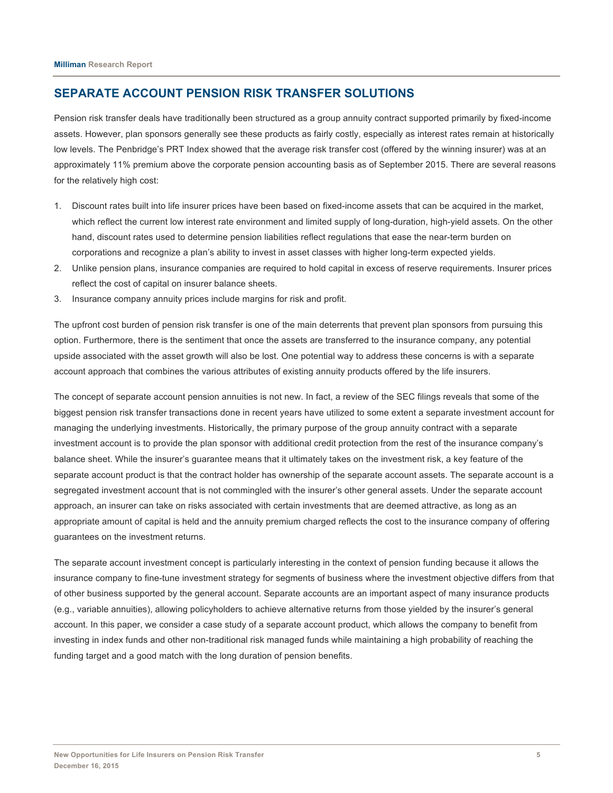## **SEPARATE ACCOUNT PENSION RISK TRANSFER SOLUTIONS**

Pension risk transfer deals have traditionally been structured as a group annuity contract supported primarily by fixed-income assets. However, plan sponsors generally see these products as fairly costly, especially as interest rates remain at historically low levels. The Penbridge's PRT Index showed that the average risk transfer cost (offered by the winning insurer) was at an approximately 11% premium above the corporate pension accounting basis as of September 2015. There are several reasons for the relatively high cost:

- 1. Discount rates built into life insurer prices have been based on fixed-income assets that can be acquired in the market, which reflect the current low interest rate environment and limited supply of long-duration, high-yield assets. On the other hand, discount rates used to determine pension liabilities reflect regulations that ease the near-term burden on corporations and recognize a plan's ability to invest in asset classes with higher long-term expected yields.
- 2. Unlike pension plans, insurance companies are required to hold capital in excess of reserve requirements. Insurer prices reflect the cost of capital on insurer balance sheets.
- 3. Insurance company annuity prices include margins for risk and profit.

The upfront cost burden of pension risk transfer is one of the main deterrents that prevent plan sponsors from pursuing this option. Furthermore, there is the sentiment that once the assets are transferred to the insurance company, any potential upside associated with the asset growth will also be lost. One potential way to address these concerns is with a separate account approach that combines the various attributes of existing annuity products offered by the life insurers.

The concept of separate account pension annuities is not new. In fact, a review of the SEC filings reveals that some of the biggest pension risk transfer transactions done in recent years have utilized to some extent a separate investment account for managing the underlying investments. Historically, the primary purpose of the group annuity contract with a separate investment account is to provide the plan sponsor with additional credit protection from the rest of the insurance company's balance sheet. While the insurer's guarantee means that it ultimately takes on the investment risk, a key feature of the separate account product is that the contract holder has ownership of the separate account assets. The separate account is a segregated investment account that is not commingled with the insurer's other general assets. Under the separate account approach, an insurer can take on risks associated with certain investments that are deemed attractive, as long as an appropriate amount of capital is held and the annuity premium charged reflects the cost to the insurance company of offering guarantees on the investment returns.

The separate account investment concept is particularly interesting in the context of pension funding because it allows the insurance company to fine-tune investment strategy for segments of business where the investment objective differs from that of other business supported by the general account. Separate accounts are an important aspect of many insurance products (e.g., variable annuities), allowing policyholders to achieve alternative returns from those yielded by the insurer's general account. In this paper, we consider a case study of a separate account product, which allows the company to benefit from investing in index funds and other non-traditional risk managed funds while maintaining a high probability of reaching the funding target and a good match with the long duration of pension benefits.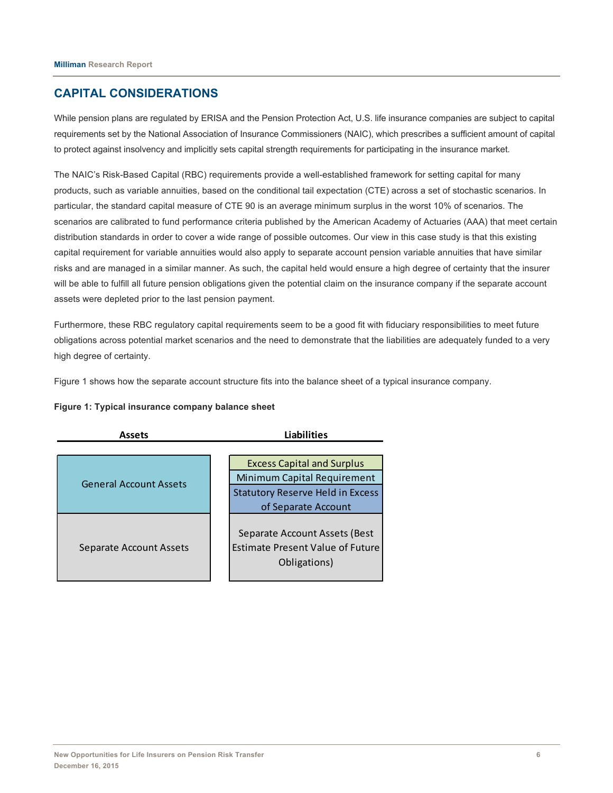## **CAPITAL CONSIDERATIONS**

While pension plans are regulated by ERISA and the Pension Protection Act, U.S. life insurance companies are subject to capital requirements set by the National Association of Insurance Commissioners (NAIC), which prescribes a sufficient amount of capital to protect against insolvency and implicitly sets capital strength requirements for participating in the insurance market.

The NAIC's Risk-Based Capital (RBC) requirements provide a well-established framework for setting capital for many products, such as variable annuities, based on the conditional tail expectation (CTE) across a set of stochastic scenarios. In particular, the standard capital measure of CTE 90 is an average minimum surplus in the worst 10% of scenarios. The scenarios are calibrated to fund performance criteria published by the American Academy of Actuaries (AAA) that meet certain distribution standards in order to cover a wide range of possible outcomes. Our view in this case study is that this existing capital requirement for variable annuities would also apply to separate account pension variable annuities that have similar risks and are managed in a similar manner. As such, the capital held would ensure a high degree of certainty that the insurer will be able to fulfill all future pension obligations given the potential claim on the insurance company if the separate account assets were depleted prior to the last pension payment.

Furthermore, these RBC regulatory capital requirements seem to be a good fit with fiduciary responsibilities to meet future obligations across potential market scenarios and the need to demonstrate that the liabilities are adequately funded to a very high degree of certainty.

Figure 1 shows how the separate account structure fits into the balance sheet of a typical insurance company.

#### **Figure 1: Typical insurance company balance sheet**

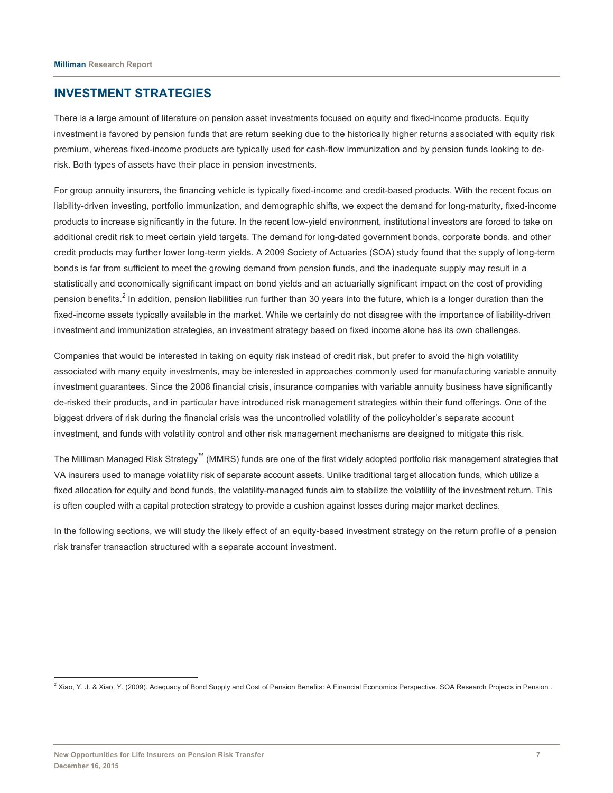### **INVESTMENT STRATEGIES**

There is a large amount of literature on pension asset investments focused on equity and fixed-income products. Equity investment is favored by pension funds that are return seeking due to the historically higher returns associated with equity risk premium, whereas fixed-income products are typically used for cash-flow immunization and by pension funds looking to derisk. Both types of assets have their place in pension investments.

For group annuity insurers, the financing vehicle is typically fixed-income and credit-based products. With the recent focus on liability-driven investing, portfolio immunization, and demographic shifts, we expect the demand for long-maturity, fixed-income products to increase significantly in the future. In the recent low-yield environment, institutional investors are forced to take on additional credit risk to meet certain yield targets. The demand for long-dated government bonds, corporate bonds, and other credit products may further lower long-term yields. A 2009 Society of Actuaries (SOA) study found that the supply of long-term bonds is far from sufficient to meet the growing demand from pension funds, and the inadequate supply may result in a statistically and economically significant impact on bond yields and an actuarially significant impact on the cost of providing pension benefits.<sup>2</sup> In addition, pension liabilities run further than 30 years into the future, which is a longer duration than the fixed-income assets typically available in the market. While we certainly do not disagree with the importance of liability-driven investment and immunization strategies, an investment strategy based on fixed income alone has its own challenges.

Companies that would be interested in taking on equity risk instead of credit risk, but prefer to avoid the high volatility associated with many equity investments, may be interested in approaches commonly used for manufacturing variable annuity investment guarantees. Since the 2008 financial crisis, insurance companies with variable annuity business have significantly de-risked their products, and in particular have introduced risk management strategies within their fund offerings. One of the biggest drivers of risk during the financial crisis was the uncontrolled volatility of the policyholder's separate account investment, and funds with volatility control and other risk management mechanisms are designed to mitigate this risk.

The Milliman Managed Risk Strategy™ (MMRS) funds are one of the first widely adopted portfolio risk management strategies that VA insurers used to manage volatility risk of separate account assets. Unlike traditional target allocation funds, which utilize a fixed allocation for equity and bond funds, the volatility-managed funds aim to stabilize the volatility of the investment return. This is often coupled with a capital protection strategy to provide a cushion against losses during major market declines.

In the following sections, we will study the likely effect of an equity-based investment strategy on the return profile of a pension risk transfer transaction structured with a separate account investment.

<sup>&</sup>lt;sup>2</sup> Xiao, Y. J. & Xiao, Y. (2009). Adequacy of Bond Supply and Cost of Pension Benefits: A Financial Economics Perspective. SOA Research Projects in Pension.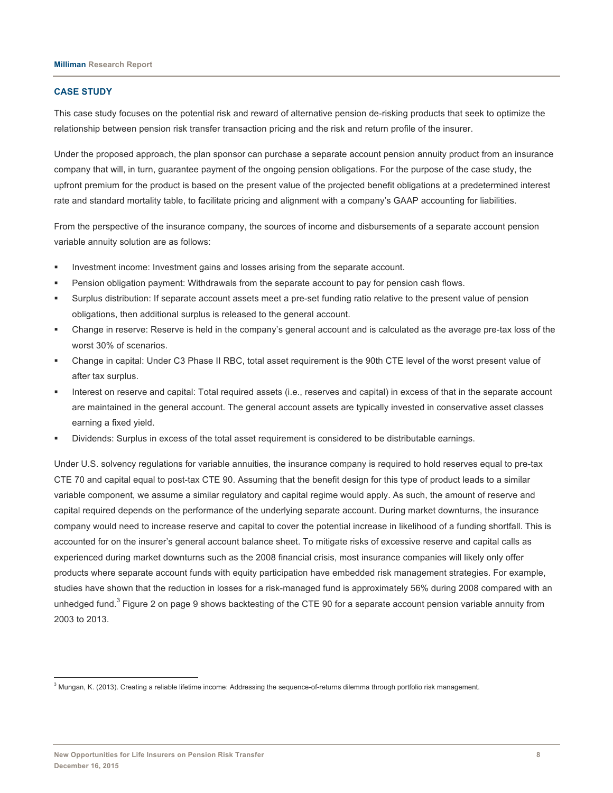#### **CASE STUDY**

This case study focuses on the potential risk and reward of alternative pension de-risking products that seek to optimize the relationship between pension risk transfer transaction pricing and the risk and return profile of the insurer.

Under the proposed approach, the plan sponsor can purchase a separate account pension annuity product from an insurance company that will, in turn, guarantee payment of the ongoing pension obligations. For the purpose of the case study, the upfront premium for the product is based on the present value of the projected benefit obligations at a predetermined interest rate and standard mortality table, to facilitate pricing and alignment with a company's GAAP accounting for liabilities.

From the perspective of the insurance company, the sources of income and disbursements of a separate account pension variable annuity solution are as follows:

- Investment income: Investment gains and losses arising from the separate account.
- Pension obligation payment: Withdrawals from the separate account to pay for pension cash flows.
- § Surplus distribution: If separate account assets meet a pre-set funding ratio relative to the present value of pension obligations, then additional surplus is released to the general account.
- § Change in reserve: Reserve is held in the company's general account and is calculated as the average pre-tax loss of the worst 30% of scenarios.
- Change in capital: Under C3 Phase II RBC, total asset requirement is the 90th CTE level of the worst present value of after tax surplus.
- Interest on reserve and capital: Total required assets (i.e., reserves and capital) in excess of that in the separate account are maintained in the general account. The general account assets are typically invested in conservative asset classes earning a fixed yield.
- § Dividends: Surplus in excess of the total asset requirement is considered to be distributable earnings.

Under U.S. solvency regulations for variable annuities, the insurance company is required to hold reserves equal to pre-tax CTE 70 and capital equal to post-tax CTE 90. Assuming that the benefit design for this type of product leads to a similar variable component, we assume a similar regulatory and capital regime would apply. As such, the amount of reserve and capital required depends on the performance of the underlying separate account. During market downturns, the insurance company would need to increase reserve and capital to cover the potential increase in likelihood of a funding shortfall. This is accounted for on the insurer's general account balance sheet. To mitigate risks of excessive reserve and capital calls as experienced during market downturns such as the 2008 financial crisis, most insurance companies will likely only offer products where separate account funds with equity participation have embedded risk management strategies. For example, studies have shown that the reduction in losses for a risk-managed fund is approximately 56% during 2008 compared with an unhedged fund.<sup>3</sup> Figure 2 on page 9 shows backtesting of the CTE 90 for a separate account pension variable annuity from 2003 to 2013.

<sup>&</sup>lt;sup>3</sup> Mungan, K. (2013). Creating a reliable lifetime income: Addressing the sequence-of-returns dilemma through portfolio risk management.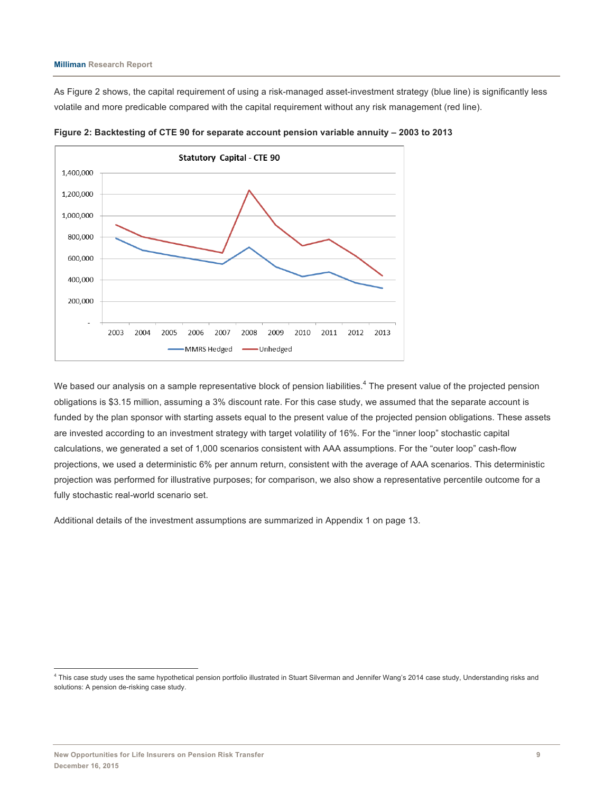As Figure 2 shows, the capital requirement of using a risk-managed asset-investment strategy (blue line) is significantly less volatile and more predicable compared with the capital requirement without any risk management (red line).



**Figure 2: Backtesting of CTE 90 for separate account pension variable annuity – 2003 to 2013**

We based our analysis on a sample representative block of pension liabilities.<sup>4</sup> The present value of the projected pension obligations is \$3.15 million, assuming a 3% discount rate. For this case study, we assumed that the separate account is funded by the plan sponsor with starting assets equal to the present value of the projected pension obligations. These assets are invested according to an investment strategy with target volatility of 16%. For the "inner loop" stochastic capital calculations, we generated a set of 1,000 scenarios consistent with AAA assumptions. For the "outer loop" cash-flow projections, we used a deterministic 6% per annum return, consistent with the average of AAA scenarios. This deterministic projection was performed for illustrative purposes; for comparison, we also show a representative percentile outcome for a fully stochastic real-world scenario set.

Additional details of the investment assumptions are summarized in Appendix 1 on page 13.

 <sup>4</sup> This case study uses the same hypothetical pension portfolio illustrated in Stuart Silverman and Jennifer Wang's 2014 case study, Understanding risks and solutions: A pension de-risking case study.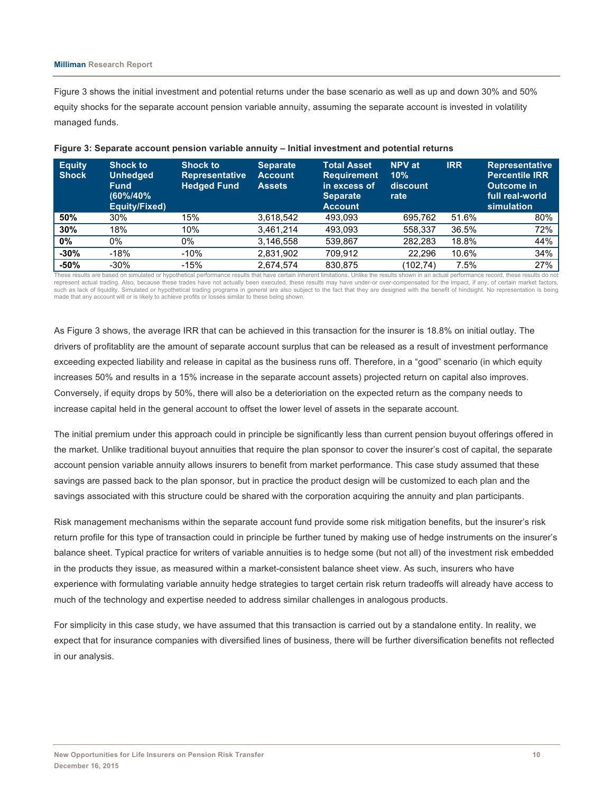#### **Milliman Research Report**

Figure 3 shows the initial investment and potential returns under the base scenario as well as up and down 30% and 50% equity shocks for the separate account pension variable annuity, assuming the separate account is invested in volatility managed funds.

| <b>Equity</b><br><b>Shock</b> | <b>Shock to</b><br><b>Unhedged</b><br><b>Fund</b><br>(60%/40%<br>Equity/Fixed) | <b>Shock to</b><br><b>Representative</b><br><b>Hedged Fund</b> | <b>Separate</b><br><b>Account</b><br><b>Assets</b> | <b>Total Asset</b><br><b>Requirement</b><br>in excess of<br><b>Separate</b><br><b>Account</b> | <b>NPV</b> at<br>10%<br>discount<br>rate | <b>IRR</b> | <b>Representative</b><br><b>Percentile IRR</b><br>Outcome in<br>full real-world<br>simulation |
|-------------------------------|--------------------------------------------------------------------------------|----------------------------------------------------------------|----------------------------------------------------|-----------------------------------------------------------------------------------------------|------------------------------------------|------------|-----------------------------------------------------------------------------------------------|
| 50%                           | 30%                                                                            | 15%                                                            | 3,618,542                                          | 493,093                                                                                       | 695,762                                  | 51.6%      | 80%                                                                                           |
| 30%                           | 18%                                                                            | 10%                                                            | 3.461.214                                          | 493.093                                                                                       | 558.337                                  | 36.5%      | 72%                                                                                           |
| $0\%$                         | 0%                                                                             | 0%                                                             | 3,146,558                                          | 539,867                                                                                       | 282.283                                  | 18.8%      | 44%                                                                                           |
| $-30%$                        | $-18%$                                                                         | $-10%$                                                         | 2,831,902                                          | 709.912                                                                                       | 22.296                                   | 10.6%      | 34%                                                                                           |
| $-50%$                        | $-30\%$                                                                        | $-15%$                                                         | 2,674,574                                          | 830,875                                                                                       | (102.74)                                 | 7.5%       | 27%                                                                                           |

#### **Figure 3: Separate account pension variable annuity – Initial investment and potential returns**

These results are based on simulated or hypothetical performance results that have certain inherent limitations. Unlike the results shown in an actual performance record, these results do not represent actual trading. Also, because these trades have not actually been executed, these results may have under-or over-compensated for the impact, if any, of certain market factors, such as lack of liquidity. Simulated or hypothetical trading programs in general are also subject to the fact that they are designed with the benefit of hindsight. No representation is being made that any account will or is likely to achieve profits or losses similar to these being shown.

As Figure 3 shows, the average IRR that can be achieved in this transaction for the insurer is 18.8% on initial outlay. The drivers of profitablity are the amount of separate account surplus that can be released as a result of investment performance exceeding expected liability and release in capital as the business runs off. Therefore, in a "good" scenario (in which equity increases 50% and results in a 15% increase in the separate account assets) projected return on capital also improves. Conversely, if equity drops by 50%, there will also be a deterioriation on the expected return as the company needs to increase capital held in the general account to offset the lower level of assets in the separate account.

The initial premium under this approach could in principle be significantly less than current pension buyout offerings offered in the market. Unlike traditional buyout annuities that require the plan sponsor to cover the insurer's cost of capital, the separate account pension variable annuity allows insurers to benefit from market performance. This case study assumed that these savings are passed back to the plan sponsor, but in practice the product design will be customized to each plan and the savings associated with this structure could be shared with the corporation acquiring the annuity and plan participants.

Risk management mechanisms within the separate account fund provide some risk mitigation benefits, but the insurer's risk return profile for this type of transaction could in principle be further tuned by making use of hedge instruments on the insurer's balance sheet. Typical practice for writers of variable annuities is to hedge some (but not all) of the investment risk embedded in the products they issue, as measured within a market-consistent balance sheet view. As such, insurers who have experience with formulating variable annuity hedge strategies to target certain risk return tradeoffs will already have access to much of the technology and expertise needed to address similar challenges in analogous products.

For simplicity in this case study, we have assumed that this transaction is carried out by a standalone entity. In reality, we expect that for insurance companies with diversified lines of business, there will be further diversification benefits not reflected in our analysis.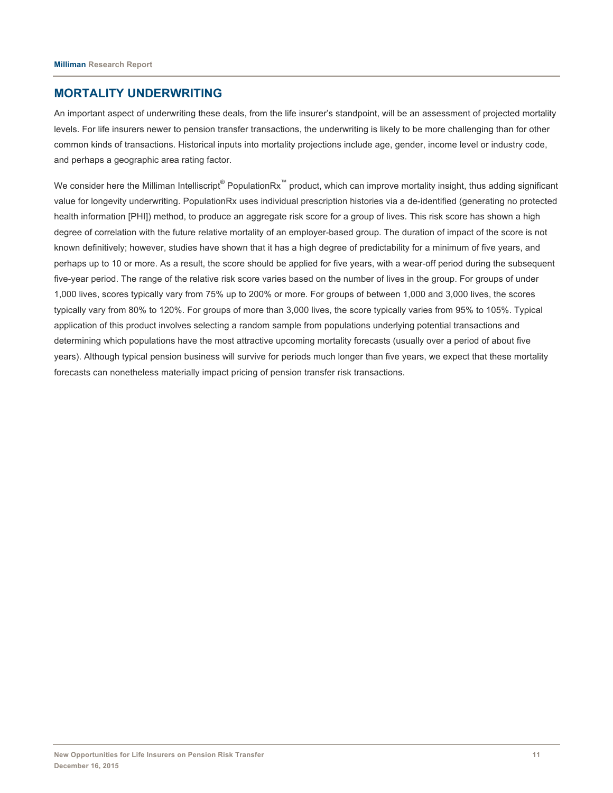## **MORTALITY UNDERWRITING**

An important aspect of underwriting these deals, from the life insurer's standpoint, will be an assessment of projected mortality levels. For life insurers newer to pension transfer transactions, the underwriting is likely to be more challenging than for other common kinds of transactions. Historical inputs into mortality projections include age, gender, income level or industry code, and perhaps a geographic area rating factor.

We consider here the Milliman Intelliscript® PopulationRx<sup>™</sup> product, which can improve mortality insight, thus adding significant value for longevity underwriting. PopulationRx uses individual prescription histories via a de-identified (generating no protected health information [PHI]) method, to produce an aggregate risk score for a group of lives. This risk score has shown a high degree of correlation with the future relative mortality of an employer-based group. The duration of impact of the score is not known definitively; however, studies have shown that it has a high degree of predictability for a minimum of five years, and perhaps up to 10 or more. As a result, the score should be applied for five years, with a wear-off period during the subsequent five-year period. The range of the relative risk score varies based on the number of lives in the group. For groups of under 1,000 lives, scores typically vary from 75% up to 200% or more. For groups of between 1,000 and 3,000 lives, the scores typically vary from 80% to 120%. For groups of more than 3,000 lives, the score typically varies from 95% to 105%. Typical application of this product involves selecting a random sample from populations underlying potential transactions and determining which populations have the most attractive upcoming mortality forecasts (usually over a period of about five years). Although typical pension business will survive for periods much longer than five years, we expect that these mortality forecasts can nonetheless materially impact pricing of pension transfer risk transactions.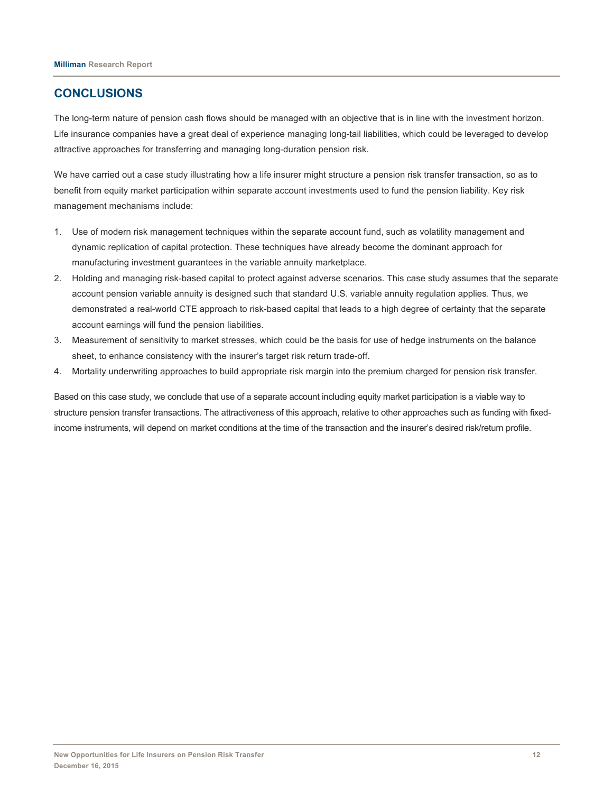## **CONCLUSIONS**

The long-term nature of pension cash flows should be managed with an objective that is in line with the investment horizon. Life insurance companies have a great deal of experience managing long-tail liabilities, which could be leveraged to develop attractive approaches for transferring and managing long-duration pension risk.

We have carried out a case study illustrating how a life insurer might structure a pension risk transfer transaction, so as to benefit from equity market participation within separate account investments used to fund the pension liability. Key risk management mechanisms include:

- 1. Use of modern risk management techniques within the separate account fund, such as volatility management and dynamic replication of capital protection. These techniques have already become the dominant approach for manufacturing investment guarantees in the variable annuity marketplace.
- 2. Holding and managing risk-based capital to protect against adverse scenarios. This case study assumes that the separate account pension variable annuity is designed such that standard U.S. variable annuity regulation applies. Thus, we demonstrated a real-world CTE approach to risk-based capital that leads to a high degree of certainty that the separate account earnings will fund the pension liabilities.
- 3. Measurement of sensitivity to market stresses, which could be the basis for use of hedge instruments on the balance sheet, to enhance consistency with the insurer's target risk return trade-off.
- 4. Mortality underwriting approaches to build appropriate risk margin into the premium charged for pension risk transfer.

Based on this case study, we conclude that use of a separate account including equity market participation is a viable way to structure pension transfer transactions. The attractiveness of this approach, relative to other approaches such as funding with fixedincome instruments, will depend on market conditions at the time of the transaction and the insurer's desired risk/return profile.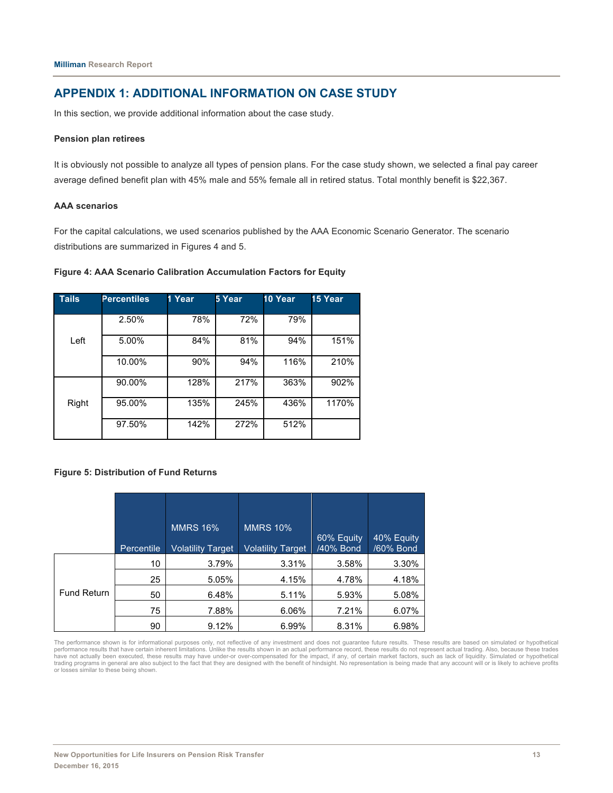## **APPENDIX 1: ADDITIONAL INFORMATION ON CASE STUDY**

In this section, we provide additional information about the case study.

#### **Pension plan retirees**

It is obviously not possible to analyze all types of pension plans. For the case study shown, we selected a final pay career average defined benefit plan with 45% male and 55% female all in retired status. Total monthly benefit is \$22,367.

#### **AAA scenarios**

For the capital calculations, we used scenarios published by the AAA Economic Scenario Generator. The scenario distributions are summarized in Figures 4 and 5.

#### **Figure 4: AAA Scenario Calibration Accumulation Factors for Equity**

| <b>Tails</b> | <b>Percentiles</b> | 1 Year | 5 Year | 10 Year | 15 Year |
|--------------|--------------------|--------|--------|---------|---------|
| Left         | 2.50%              | 78%    | 72%    | 79%     |         |
|              | 5.00%              | 84%    | 81%    | 94%     | 151%    |
|              | 10.00%             | 90%    | 94%    | 116%    | 210%    |
|              | 90.00%             | 128%   | 217%   | 363%    | 902%    |
| Right        | 95.00%             | 135%   | 245%   | 436%    | 1170%   |
|              | 97.50%             | 142%   | 272%   | 512%    |         |

#### **Figure 5: Distribution of Fund Returns**

|                    |            | <b>MMRS 16%</b>          | <b>MMRS 10%</b>          | 60% Equity | 40% Equity |
|--------------------|------------|--------------------------|--------------------------|------------|------------|
|                    | Percentile | <b>Volatility Target</b> | <b>Volatility Target</b> | /40% Bond  | /60% Bond  |
|                    | 10         | 3.79%                    | 3.31%                    | 3.58%      | 3.30%      |
| <b>Fund Return</b> | 25         | 5.05%                    | 4.15%                    | 4.78%      | 4.18%      |
|                    | 50         | 6.48%                    | 5.11%                    | 5.93%      | 5.08%      |
|                    | 75         | 7.88%                    | 6.06%                    | 7.21%      | 6.07%      |
|                    | 90         | 9.12%                    | 6.99%                    | 8.31%      | 6.98%      |

The performance shown is for informational purposes only, not reflective of any investment and does not guarantee future results. These results are based on simulated or hypothetical performance results that have certain inherent limitations. Unlike the results shown in an actual performance record, these results do not represent actual trading. Also, because these trades<br>have not actually been execute or losses similar to these being shown.